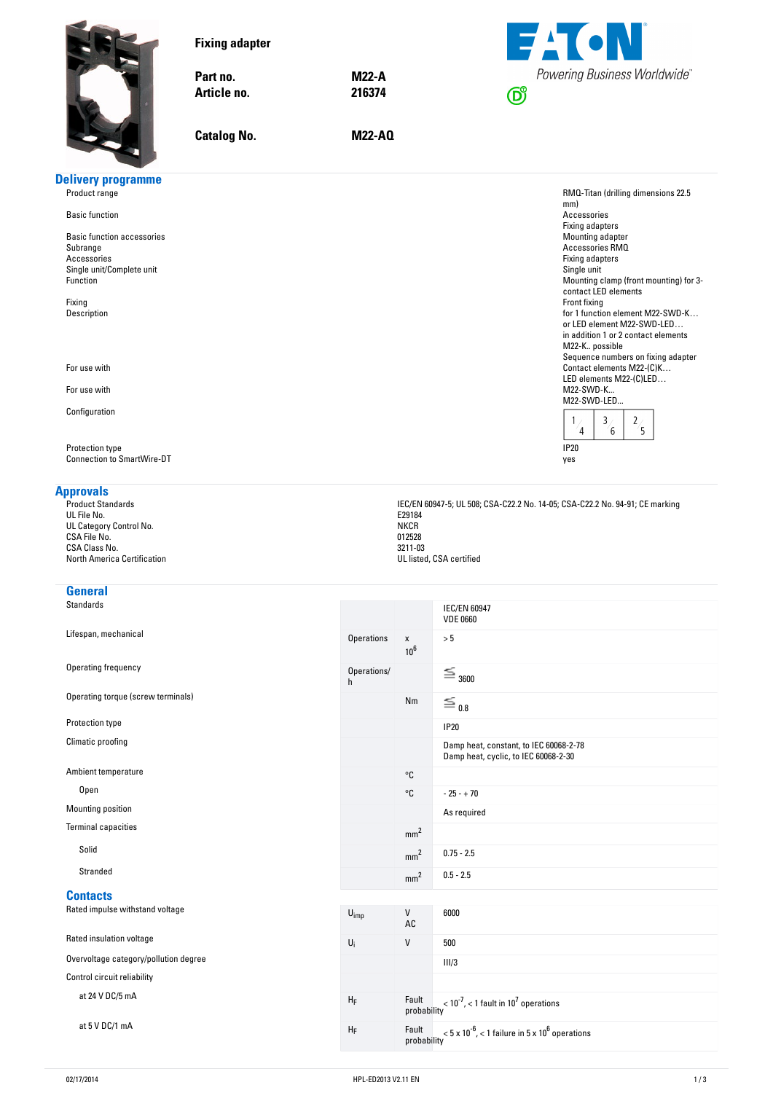<span id="page-0-0"></span>

|                                       | <b>Fixing adapter</b><br>Part no.<br>Article no.<br><b>Catalog No.</b> | <b>M22-A</b><br>216374<br><b>M22-AQ</b> |     | <b>EACN</b><br><b>Powering Business Worldwide</b>     |
|---------------------------------------|------------------------------------------------------------------------|-----------------------------------------|-----|-------------------------------------------------------|
| <b>Delivery programme</b>             |                                                                        |                                         |     |                                                       |
| Product range                         |                                                                        |                                         |     | RMQ-Titan (drilling dimensions 22.5                   |
| <b>Basic function</b>                 |                                                                        |                                         | mm) | Accessories<br>Fixing adapters                        |
| Basic function accessories            |                                                                        |                                         |     | Mounting adapter                                      |
| Subrange                              |                                                                        |                                         |     | Accessories RMQ                                       |
| Accessories                           |                                                                        |                                         |     | Fixing adapters                                       |
| Single unit/Complete unit<br>Function |                                                                        |                                         |     | Single unit<br>Mounting clamp (front mounting) for 3- |
|                                       |                                                                        |                                         |     | contact LED elements                                  |
| Fixing                                |                                                                        |                                         |     | Front fixing                                          |

Fixing **Front fixing** Description for 1 function element M22-SWD-K…

For use with Contact elements M22-(C)K...

For use with M22-SWD-K...

Configuration

Protection type **IP20** Connection to SmartWire-DT yes

**Approvals**<br>Product Standards<br>UL File No. UL FIIE NO. EZYI84 UL Category Control No. National Control of the Control of the Control of the Control of the Control of the Control of the Control of the Control of the Control of the Control of the Control of the Control of the Control o  $C$ SA File No. 012528  $C$ SA Class No. 3211-03

# **General**<br>Standards

Lifespan, mechanical and the contract of the contract of the contract of the contract of the contract of the contract of the contract of the contract of the contract of the contract of the contract of the contract of the c

Operating frequency of the contract of the contract of the contract of the contract of the contract of the contract of the contract of the contract of the contract of the contract of the contract of the contract of the con

### **Contacts**

or LED element M22-SWD-LED… in addition 1 or 2 contact elements

Sequence numbers on fixing adapter

 $\frac{2}{5}$ 

LED elements M22-(C)LED...<br>M22-SWD-K...

 $\overline{3}$  $\overline{4}$ 

 $6\overline{6}$ 

M22-K.. possible

M22-SWD-LED...

 $\mathbf{1}$ 

IEC/EN 60947-5; UL 508; CSA-C22.2 No. 14-05; CSA-C22.2 No. 94-91; CE marking<br>E29184<br>NKCR

| UL GALEYOI Y GUILLOI IVO.<br>CSA File No.<br>CSA Class No.<br>North America Certification | <b>IVINUIT</b><br>012528<br>3211-03<br>UL listed, CSA certified |              |                                        |  |
|-------------------------------------------------------------------------------------------|-----------------------------------------------------------------|--------------|----------------------------------------|--|
| General                                                                                   |                                                                 |              |                                        |  |
| Standards                                                                                 |                                                                 |              | <b>IEC/EN 60947</b><br><b>VDE 0660</b> |  |
| Lifespan, mechanical                                                                      | Operations                                                      | $\mathbf{x}$ | > 5                                    |  |

 $10^6$ 

|                                       | Operations/<br>h |                      | $=$ 3600                                                                       |
|---------------------------------------|------------------|----------------------|--------------------------------------------------------------------------------|
| Operating torque (screw terminals)    |                  | Nm                   | $\equiv$ 0.8                                                                   |
| Protection type                       |                  |                      | <b>IP20</b>                                                                    |
| Climatic proofing                     |                  |                      | Damp heat, constant, to IEC 60068-2-78<br>Damp heat, cyclic, to IEC 60068-2-30 |
| Ambient temperature                   |                  | °C                   |                                                                                |
| Open                                  |                  | °C                   | $-25 - +70$                                                                    |
| Mounting position                     |                  |                      | As required                                                                    |
| <b>Terminal capacities</b>            |                  | mm <sup>2</sup>      |                                                                                |
| Solid                                 |                  | mm <sup>2</sup>      | $0.75 - 2.5$                                                                   |
| Stranded                              |                  | mm <sup>2</sup>      | $0.5 - 2.5$                                                                    |
| <b>Contacts</b>                       |                  |                      |                                                                                |
| Rated impulse withstand voltage       | $U_{imp}$        | V<br>AC              | 6000                                                                           |
| Rated insulation voltage              | $U_i$            | V                    | 500                                                                            |
| Overvoltage category/pollution degree |                  |                      | III/3                                                                          |
| Control circuit reliability           |                  |                      |                                                                                |
| at 24 V DC/5 mA                       | $H_F$            | Fault<br>probability | $<$ 10 <sup>-7</sup> , $<$ 1 fault in 10 <sup>7</sup> operations               |
| at 5 V DC/1 mA                        | $H_F$            | Fault<br>probability | $<$ 5 x 10 <sup>-6</sup> , $<$ 1 failure in 5 x 10 <sup>6</sup> operations     |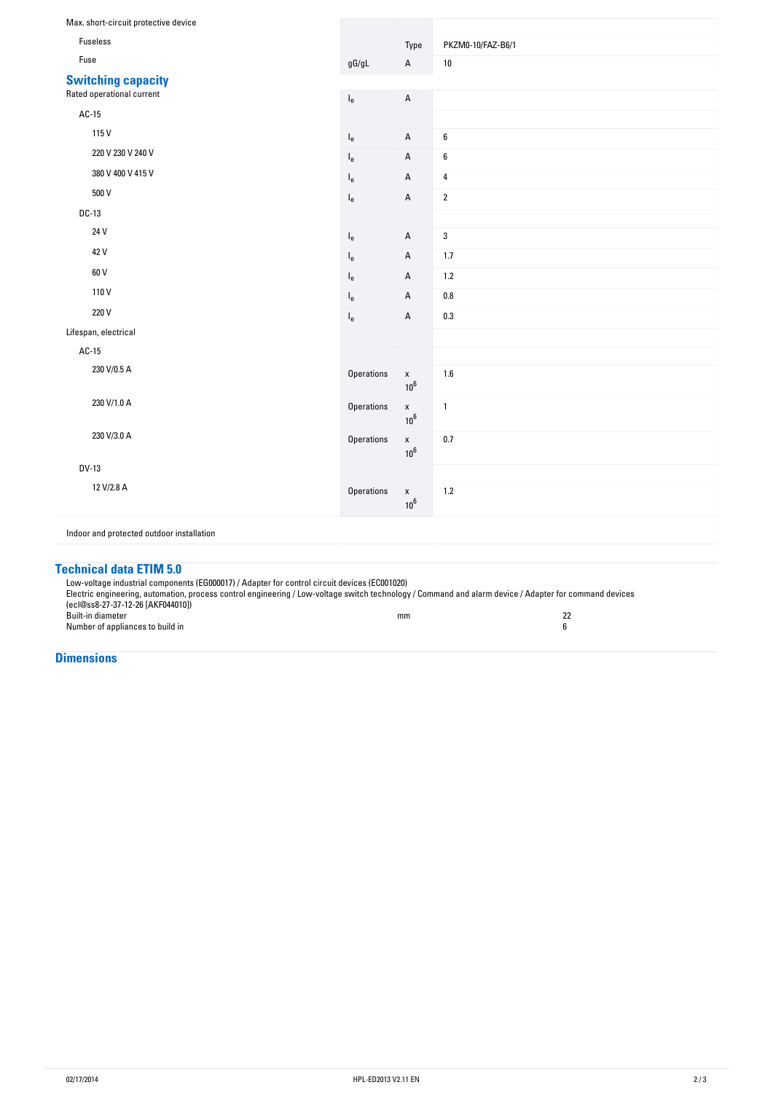| Max. short-circuit protective device      |                   |                              |                   |
|-------------------------------------------|-------------------|------------------------------|-------------------|
| Fuseless                                  |                   | Type                         | PKZM0-10/FAZ-B6/1 |
| Fuse                                      | $\mathsf{gG/gL}$  | $\mathsf A$                  | $10\,$            |
| <b>Switching capacity</b>                 |                   |                              |                   |
| Rated operational current                 | $I_e$             | $\sf A$                      |                   |
| AC-15                                     |                   |                              |                   |
| 115V                                      | $I_{e}$           | $\sf A$                      | $\boldsymbol{6}$  |
| 220 V 230 V 240 V                         | $I_e$             | $\mathsf A$                  | $\boldsymbol{6}$  |
| 380 V 400 V 415 V                         | $I_{e}$           | $\mathsf A$                  | 4                 |
| 500 V                                     | $I_e$             | $\mathsf A$                  | $\overline{2}$    |
| $DC-13$                                   |                   |                              |                   |
| 24 V                                      |                   | $\mathsf A$                  | 3                 |
| 42 V                                      | $I_e$             |                              |                   |
| 60 V                                      | $I_e$             | $\mathsf A$                  | 1.7               |
| 110V                                      | $I_{e}$           | $\mathsf A$                  | 1.2               |
|                                           | $I_e$             | $\mathsf A$                  | $0.8\,$           |
| 220 V                                     | $I_e$             | $\mathsf A$                  | $0.3\,$           |
| Lifespan, electrical                      |                   |                              |                   |
| $AC-15$                                   |                   |                              |                   |
| 230 V/0.5 A                               | <b>Operations</b> | $\mathsf X$<br>$10^6$        | 1.6               |
| 230 V/1.0 A                               | Operations        | $\mathsf X$<br>$10^6$        | $\mathbf{1}$      |
| 230 V/3.0 A                               | Operations        | $\mathsf X$<br>$10^6$        | 0.7               |
| <b>DV-13</b>                              |                   |                              |                   |
| 12 V/2.8 A                                | <b>Operations</b> | $\pmb{\mathsf{X}}$<br>$10^6$ | $1.2$             |
| Indoor and protected outdoor installation |                   |                              |                   |

## **Technical-data-ETIM-5.0**

Low-voltage industrial components (EG000017) / Adapter for control circuit devices (EC001020) Electric engineering, automation, process control engineering / Low-voltage switch technology / Command and alarm device / Adapter for command devices (ecl@ss8-27-37-12-26 [AKF044010]) Built-in diameter and the state of the state of the state of the state of the state of the state of the state of the state of the state of the state of the state of the state of the state of the state of the state of the s Number of appliances to build in 6 to 200 m states and the states of the states of the states of the states of the states of the states of the states of the states of the states of the states of the states of the states of

**Dimensions**